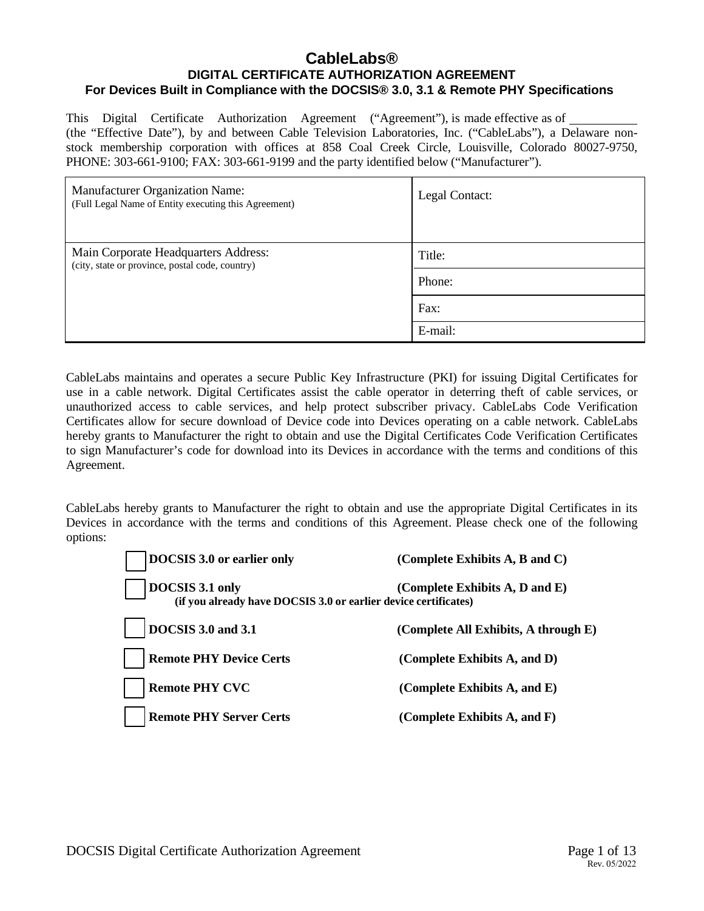## **CableLabs® DIGITAL CERTIFICATE AUTHORIZATION AGREEMENT For Devices Built in Compliance with the DOCSIS® 3.0, 3.1 & Remote PHY Specifications**

This Digital Certificate Authorization Agreement ("Agreement"), is made effective as of (the "Effective Date"), by and between Cable Television Laboratories, Inc. ("CableLabs"), a Delaware nonstock membership corporation with offices at 858 Coal Creek Circle, Louisville, Colorado 80027-9750, PHONE: 303-661-9100; FAX: 303-661-9199 and the party identified below ("Manufacturer").

| Manufacturer Organization Name:<br>(Full Legal Name of Entity executing this Agreement) | Legal Contact: |
|-----------------------------------------------------------------------------------------|----------------|
| Main Corporate Headquarters Address:<br>(city, state or province, postal code, country) | Title:         |
|                                                                                         | Phone:         |
|                                                                                         | Fax:           |
|                                                                                         | E-mail:        |

CableLabs maintains and operates a secure Public Key Infrastructure (PKI) for issuing Digital Certificates for use in a cable network. Digital Certificates assist the cable operator in deterring theft of cable services, or unauthorized access to cable services, and help protect subscriber privacy. CableLabs Code Verification Certificates allow for secure download of Device code into Devices operating on a cable network. CableLabs hereby grants to Manufacturer the right to obtain and use the Digital Certificates Code Verification Certificates to sign Manufacturer's code for download into its Devices in accordance with the terms and conditions of this Agreement.

CableLabs hereby grants to Manufacturer the right to obtain and use the appropriate Digital Certificates in its Devices in accordance with the terms and conditions of this Agreement. Please check one of the following options:

| DOCSIS 3.0 or earlier only                                                         | (Complete Exhibits $A$ , $B$ and $C$ ) |
|------------------------------------------------------------------------------------|----------------------------------------|
| DOCSIS 3.1 only<br>(if you already have DOCSIS 3.0 or earlier device certificates) | (Complete Exhibits A, D and E)         |
| <b>DOCSIS 3.0 and 3.1</b>                                                          | (Complete All Exhibits, A through E)   |
| <b>Remote PHY Device Certs</b>                                                     | (Complete Exhibits A, and D)           |
| <b>Remote PHY CVC</b>                                                              | (Complete Exhibits $A$ , and $E$ )     |
| <b>Remote PHY Server Certs</b>                                                     | (Complete Exhibits $A$ , and $F$ )     |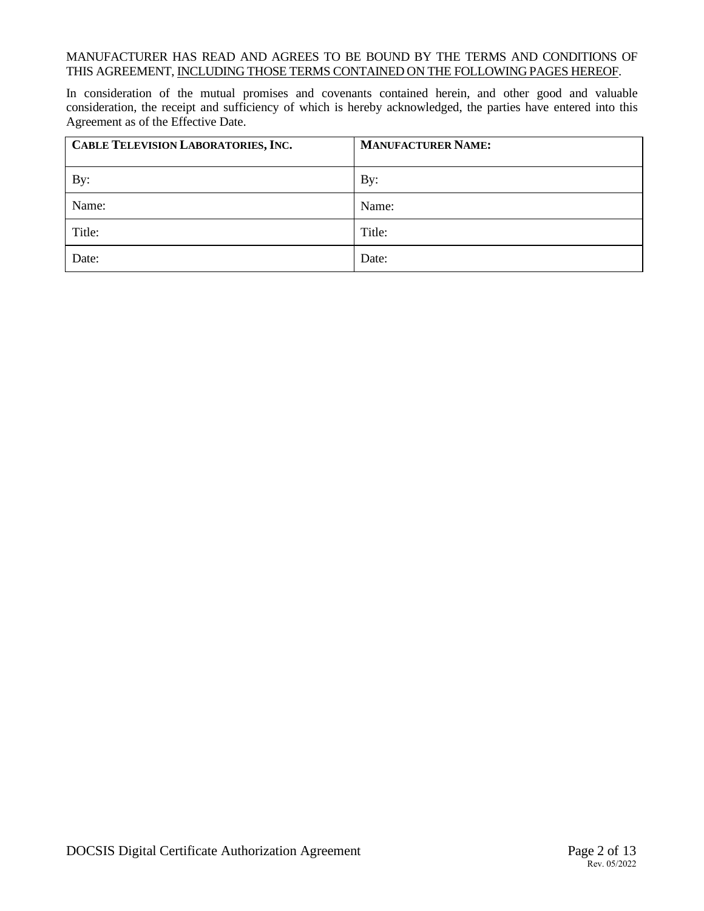#### MANUFACTURER HAS READ AND AGREES TO BE BOUND BY THE TERMS AND CONDITIONS OF THIS AGREEMENT, INCLUDING THOSE TERMS CONTAINED ON THE FOLLOWING PAGES HEREOF.

In consideration of the mutual promises and covenants contained herein, and other good and valuable consideration, the receipt and sufficiency of which is hereby acknowledged, the parties have entered into this Agreement as of the Effective Date.

| CABLE TELEVISION LABORATORIES, INC. | <b>MANUFACTURER NAME:</b> |
|-------------------------------------|---------------------------|
| By:                                 | By:                       |
| Name:                               | Name:                     |
| Title:                              | Title:                    |
| Date:                               | Date:                     |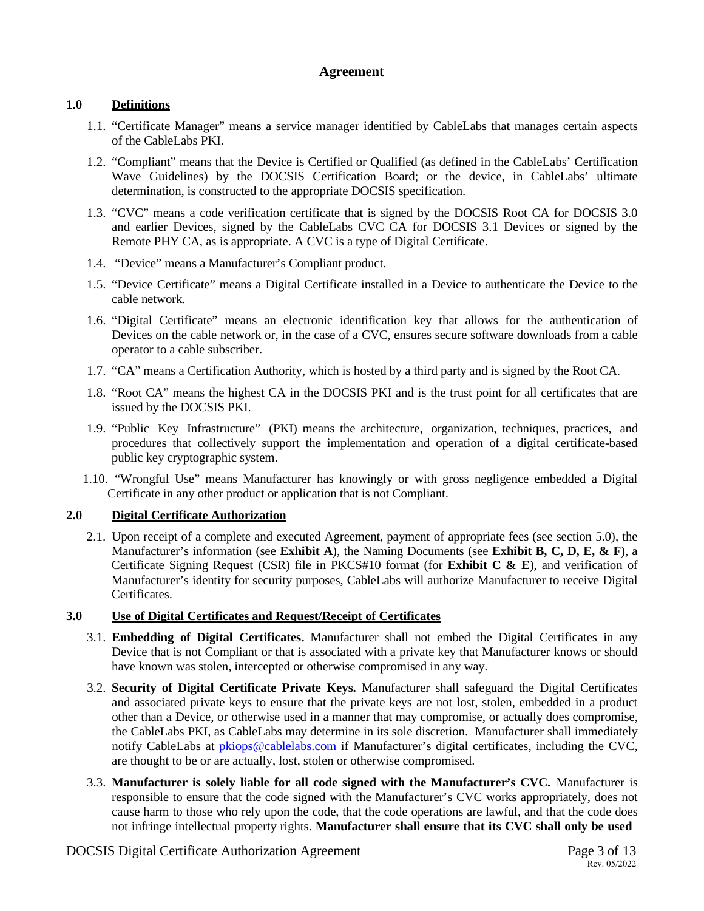### **Agreement**

### **1.0 Definitions**

- 1.1. "Certificate Manager" means a service manager identified by CableLabs that manages certain aspects of the CableLabs PKI.
- 1.2. "Compliant" means that the Device is Certified or Qualified (as defined in the CableLabs' Certification Wave Guidelines) by the DOCSIS Certification Board; or the device, in CableLabs' ultimate determination, is constructed to the appropriate DOCSIS specification.
- 1.3. "CVC" means a code verification certificate that is signed by the DOCSIS Root CA for DOCSIS 3.0 and earlier Devices, signed by the CableLabs CVC CA for DOCSIS 3.1 Devices or signed by the Remote PHY CA, as is appropriate. A CVC is a type of Digital Certificate.
- 1.4. "Device" means a Manufacturer's Compliant product.
- 1.5. "Device Certificate" means a Digital Certificate installed in a Device to authenticate the Device to the cable network.
- 1.6. "Digital Certificate" means an electronic identification key that allows for the authentication of Devices on the cable network or, in the case of a CVC, ensures secure software downloads from a cable operator to a cable subscriber.
- 1.7. "CA" means a Certification Authority, which is hosted by a third party and is signed by the Root CA.
- 1.8. "Root CA" means the highest CA in the DOCSIS PKI and is the trust point for all certificates that are issued by the DOCSIS PKI.
- 1.9. "Public Key Infrastructure" (PKI) means the architecture, organization, techniques, practices, and procedures that collectively support the implementation and operation of a digital certificate-based public key cryptographic system.
- 1.10. "Wrongful Use" means Manufacturer has knowingly or with gross negligence embedded a Digital Certificate in any other product or application that is not Compliant.

### **2.0 Digital Certificate Authorization**

2.1. Upon receipt of a complete and executed Agreement, payment of appropriate fees (see section 5.0), the Manufacturer's information (see **Exhibit A**), the Naming Documents (see **Exhibit B, C, D, E, & F**), a Certificate Signing Request (CSR) file in PKCS#10 format (for **Exhibit C & E**), and verification of Manufacturer's identity for security purposes, CableLabs will authorize Manufacturer to receive Digital Certificates.

#### **3.0 Use of Digital Certificates and Request/Receipt of Certificates**

- 3.1. **Embedding of Digital Certificates.** Manufacturer shall not embed the Digital Certificates in any Device that is not Compliant or that is associated with a private key that Manufacturer knows or should have known was stolen, intercepted or otherwise compromised in any way.
- 3.2. **Security of Digital Certificate Private Keys.** Manufacturer shall safeguard the Digital Certificates and associated private keys to ensure that the private keys are not lost, stolen, embedded in a product other than a Device, or otherwise used in a manner that may compromise, or actually does compromise, the CableLabs PKI, as CableLabs may determine in its sole discretion. Manufacturer shall immediately notify CableLabs at pkiops@cablelabs.com if Manufacturer's digital certificates, including the CVC, are thought to be or are actually, lost, stolen or otherwise compromised.
- 3.3. **Manufacturer is solely liable for all code signed with the Manufacturer's CVC.** Manufacturer is responsible to ensure that the code signed with the Manufacturer's CVC works appropriately, does not cause harm to those who rely upon the code, that the code operations are lawful, and that the code does not infringe intellectual property rights. **Manufacturer shall ensure that its CVC shall only be used**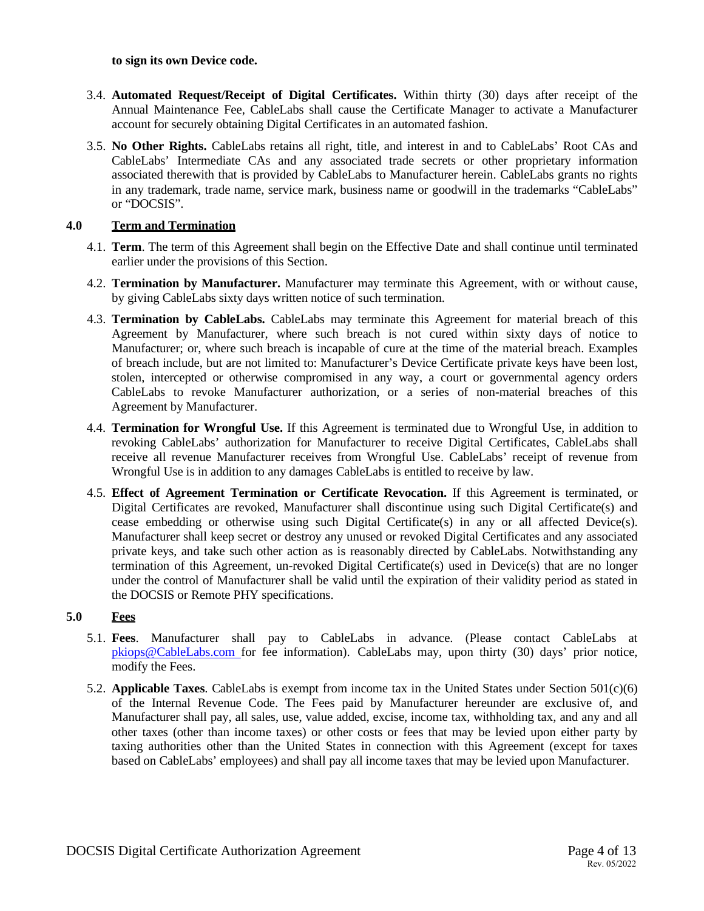#### **to sign its own Device code.**

- 3.4. **Automated Request/Receipt of Digital Certificates.** Within thirty (30) days after receipt of the Annual Maintenance Fee, CableLabs shall cause the Certificate Manager to activate a Manufacturer account for securely obtaining Digital Certificates in an automated fashion.
- 3.5. **No Other Rights.** CableLabs retains all right, title, and interest in and to CableLabs' Root CAs and CableLabs' Intermediate CAs and any associated trade secrets or other proprietary information associated therewith that is provided by CableLabs to Manufacturer herein. CableLabs grants no rights in any trademark, trade name, service mark, business name or goodwill in the trademarks "CableLabs" or "DOCSIS".

#### **4.0 Term and Termination**

- 4.1. **Term**. The term of this Agreement shall begin on the Effective Date and shall continue until terminated earlier under the provisions of this Section.
- 4.2. **Termination by Manufacturer.** Manufacturer may terminate this Agreement, with or without cause, by giving CableLabs sixty days written notice of such termination.
- 4.3. **Termination by CableLabs.** CableLabs may terminate this Agreement for material breach of this Agreement by Manufacturer, where such breach is not cured within sixty days of notice to Manufacturer; or, where such breach is incapable of cure at the time of the material breach. Examples of breach include, but are not limited to: Manufacturer's Device Certificate private keys have been lost, stolen, intercepted or otherwise compromised in any way, a court or governmental agency orders CableLabs to revoke Manufacturer authorization, or a series of non-material breaches of this Agreement by Manufacturer.
- 4.4. **Termination for Wrongful Use.** If this Agreement is terminated due to Wrongful Use, in addition to revoking CableLabs' authorization for Manufacturer to receive Digital Certificates, CableLabs shall receive all revenue Manufacturer receives from Wrongful Use. CableLabs' receipt of revenue from Wrongful Use is in addition to any damages CableLabs is entitled to receive by law.
- 4.5. **Effect of Agreement Termination or Certificate Revocation.** If this Agreement is terminated, or Digital Certificates are revoked, Manufacturer shall discontinue using such Digital Certificate(s) and cease embedding or otherwise using such Digital Certificate(s) in any or all affected Device(s). Manufacturer shall keep secret or destroy any unused or revoked Digital Certificates and any associated private keys, and take such other action as is reasonably directed by CableLabs. Notwithstanding any termination of this Agreement, un-revoked Digital Certificate(s) used in Device(s) that are no longer under the control of Manufacturer shall be valid until the expiration of their validity period as stated in the DOCSIS or Remote PHY specifications.

#### **5.0 Fees**

- 5.1. **Fees**. Manufacturer shall pay to CableLabs in advance. (Please contact CableLabs at pkiops@CableLabs.com for fee information). CableLabs may, upon thirty (30) days' prior notice, modify the Fees.
- 5.2. **Applicable Taxes**. CableLabs is exempt from income tax in the United States under Section 501(c)(6) of the Internal Revenue Code. The Fees paid by Manufacturer hereunder are exclusive of, and Manufacturer shall pay, all sales, use, value added, excise, income tax, withholding tax, and any and all other taxes (other than income taxes) or other costs or fees that may be levied upon either party by taxing authorities other than the United States in connection with this Agreement (except for taxes based on CableLabs' employees) and shall pay all income taxes that may be levied upon Manufacturer.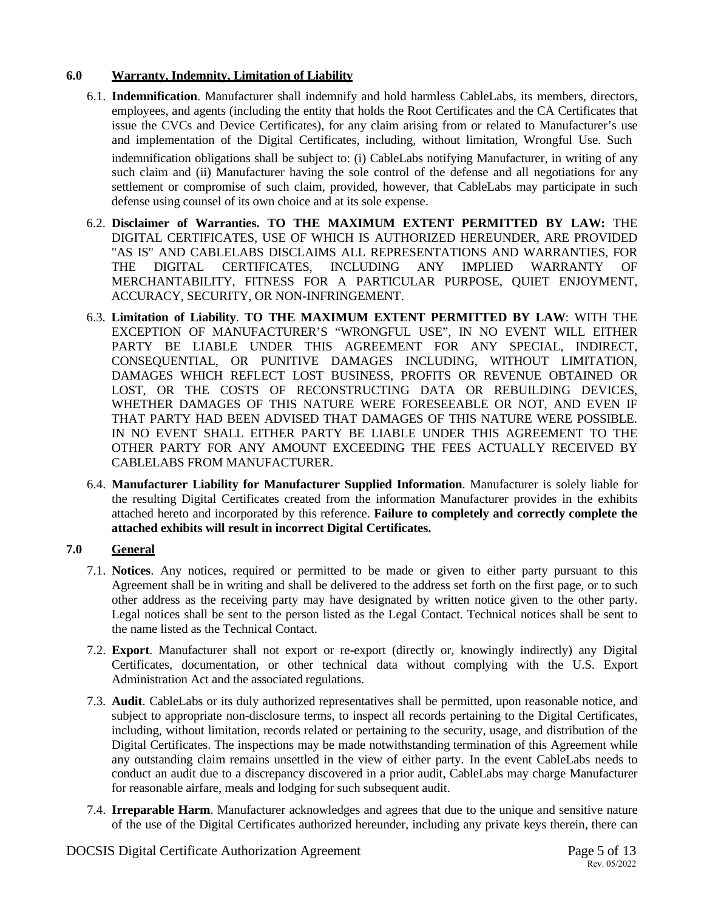#### **6.0 Warranty, Indemnity, Limitation of Liability**

- 6.1. **Indemnification**. Manufacturer shall indemnify and hold harmless CableLabs, its members, directors, employees, and agents (including the entity that holds the Root Certificates and the CA Certificates that issue the CVCs and Device Certificates), for any claim arising from or related to Manufacturer's use and implementation of the Digital Certificates, including, without limitation, Wrongful Use. Such indemnification obligations shall be subject to: (i) CableLabs notifying Manufacturer, in writing of any such claim and (ii) Manufacturer having the sole control of the defense and all negotiations for any settlement or compromise of such claim, provided, however, that CableLabs may participate in such defense using counsel of its own choice and at its sole expense.
- 6.2. **Disclaimer of Warranties. TO THE MAXIMUM EXTENT PERMITTED BY LAW:** THE DIGITAL CERTIFICATES, USE OF WHICH IS AUTHORIZED HEREUNDER, ARE PROVIDED "AS IS" AND CABLELABS DISCLAIMS ALL REPRESENTATIONS AND WARRANTIES, FOR THE DIGITAL CERTIFICATES, INCLUDING ANY IMPLIED WARRANTY OF MERCHANTABILITY, FITNESS FOR A PARTICULAR PURPOSE, QUIET ENJOYMENT, ACCURACY, SECURITY, OR NON-INFRINGEMENT.
- 6.3. **Limitation of Liability**. **TO THE MAXIMUM EXTENT PERMITTED BY LAW**: WITH THE EXCEPTION OF MANUFACTURER'S "WRONGFUL USE", IN NO EVENT WILL EITHER PARTY BE LIABLE UNDER THIS AGREEMENT FOR ANY SPECIAL, INDIRECT, CONSEQUENTIAL, OR PUNITIVE DAMAGES INCLUDING, WITHOUT LIMITATION, DAMAGES WHICH REFLECT LOST BUSINESS, PROFITS OR REVENUE OBTAINED OR LOST, OR THE COSTS OF RECONSTRUCTING DATA OR REBUILDING DEVICES, WHETHER DAMAGES OF THIS NATURE WERE FORESEEABLE OR NOT, AND EVEN IF THAT PARTY HAD BEEN ADVISED THAT DAMAGES OF THIS NATURE WERE POSSIBLE. IN NO EVENT SHALL EITHER PARTY BE LIABLE UNDER THIS AGREEMENT TO THE OTHER PARTY FOR ANY AMOUNT EXCEEDING THE FEES ACTUALLY RECEIVED BY CABLELABS FROM MANUFACTURER.
- 6.4. **Manufacturer Liability for Manufacturer Supplied Information**. Manufacturer is solely liable for the resulting Digital Certificates created from the information Manufacturer provides in the exhibits attached hereto and incorporated by this reference. **Failure to completely and correctly complete the attached exhibits will result in incorrect Digital Certificates.**

### **7.0 General**

- 7.1. **Notices**. Any notices, required or permitted to be made or given to either party pursuant to this Agreement shall be in writing and shall be delivered to the address set forth on the first page, or to such other address as the receiving party may have designated by written notice given to the other party. Legal notices shall be sent to the person listed as the Legal Contact. Technical notices shall be sent to the name listed as the Technical Contact.
- 7.2. **Export**. Manufacturer shall not export or re-export (directly or, knowingly indirectly) any Digital Certificates, documentation, or other technical data without complying with the U.S. Export Administration Act and the associated regulations.
- 7.3. **Audit**. CableLabs or its duly authorized representatives shall be permitted, upon reasonable notice, and subject to appropriate non-disclosure terms, to inspect all records pertaining to the Digital Certificates, including, without limitation, records related or pertaining to the security, usage, and distribution of the Digital Certificates. The inspections may be made notwithstanding termination of this Agreement while any outstanding claim remains unsettled in the view of either party. In the event CableLabs needs to conduct an audit due to a discrepancy discovered in a prior audit, CableLabs may charge Manufacturer for reasonable airfare, meals and lodging for such subsequent audit.
- 7.4. **Irreparable Harm**. Manufacturer acknowledges and agrees that due to the unique and sensitive nature of the use of the Digital Certificates authorized hereunder, including any private keys therein, there can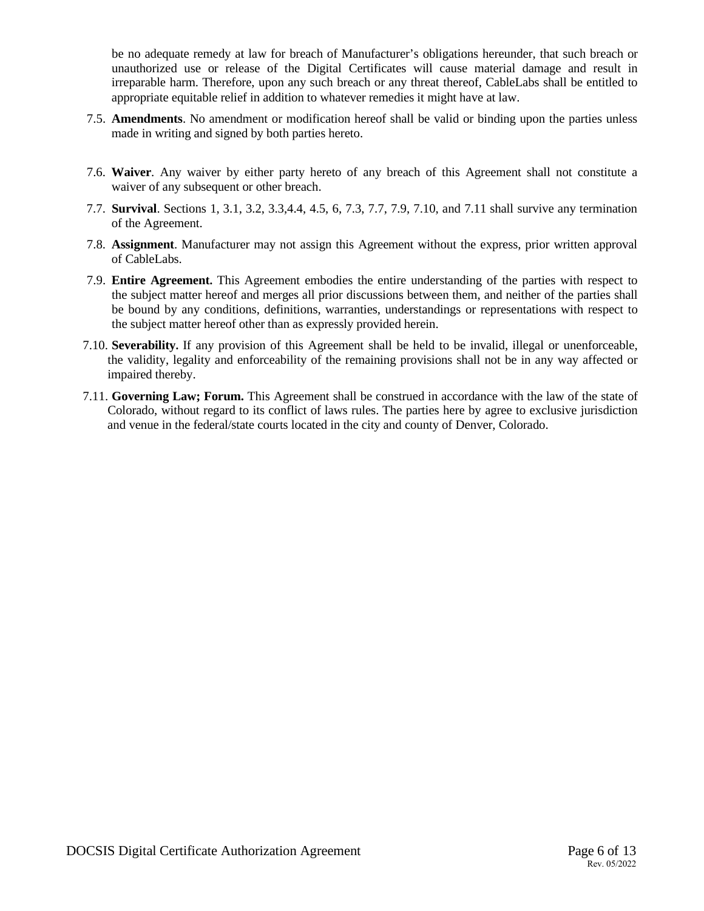be no adequate remedy at law for breach of Manufacturer's obligations hereunder, that such breach or unauthorized use or release of the Digital Certificates will cause material damage and result in irreparable harm. Therefore, upon any such breach or any threat thereof, CableLabs shall be entitled to appropriate equitable relief in addition to whatever remedies it might have at law.

- 7.5. **Amendments**. No amendment or modification hereof shall be valid or binding upon the parties unless made in writing and signed by both parties hereto.
- 7.6. **Waiver**. Any waiver by either party hereto of any breach of this Agreement shall not constitute a waiver of any subsequent or other breach.
- 7.7. **Survival**. Sections 1, 3.1, 3.2, 3.3,4.4, 4.5, 6, 7.3, 7.7, 7.9, 7.10, and 7.11 shall survive any termination of the Agreement.
- 7.8. **Assignment**. Manufacturer may not assign this Agreement without the express, prior written approval of CableLabs.
- 7.9. **Entire Agreement.** This Agreement embodies the entire understanding of the parties with respect to the subject matter hereof and merges all prior discussions between them, and neither of the parties shall be bound by any conditions, definitions, warranties, understandings or representations with respect to the subject matter hereof other than as expressly provided herein.
- 7.10. **Severability.** If any provision of this Agreement shall be held to be invalid, illegal or unenforceable, the validity, legality and enforceability of the remaining provisions shall not be in any way affected or impaired thereby.
- 7.11. **Governing Law; Forum.** This Agreement shall be construed in accordance with the law of the state of Colorado, without regard to its conflict of laws rules. The parties here by agree to exclusive jurisdiction and venue in the federal/state courts located in the city and county of Denver, Colorado.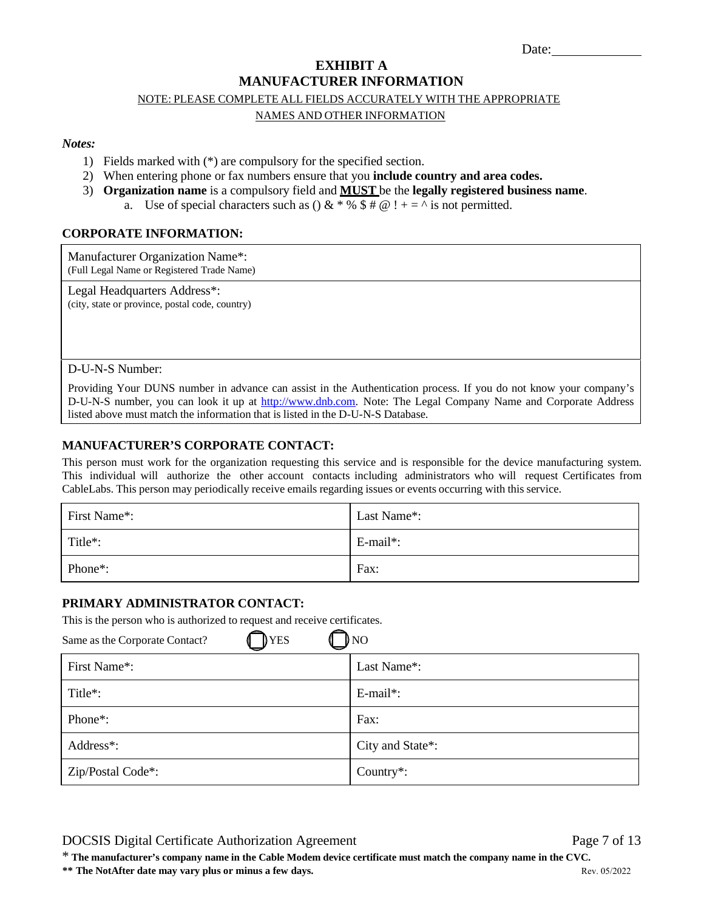# **EXHIBIT A MANUFACTURER INFORMATION**

#### NOTE: PLEASE COMPLETE ALL FIELDS ACCURATELY WITH THE APPROPRIATE

#### NAMES AND OTHER INFORMATION

#### *Notes:*

- 1) Fields marked with (\*) are compulsory for the specified section.
- 2) When entering phone or fax numbers ensure that you **include country and area codes.**
- 3) **Organization name** is a compulsory field and **MUST** be the **legally registered business name**.
	- a. Use of special characters such as  $\left( \right) \& * \% \$   $\# \mathcal{Q} \right)$   $+ = \sqrt{\ }$  is not permitted.

#### **CORPORATE INFORMATION:**

Manufacturer Organization Name\*: (Full Legal Name or Registered Trade Name)

Legal Headquarters Address\*: (city, state or province, postal code, country)

#### D-U-N-S Number:

Providing Your DUNS number in advance can assist in the Authentication process. If you do not know your company's D-U-N-S number, you can look it up at http://www.dnb.com. Note: The Legal Company Name and Corporate Address listed above must match the information that is listed in the D-U-N-S Database.

#### **MANUFACTURER'S CORPORATE CONTACT:**

This person must work for the organization requesting this service and is responsible for the device manufacturing system. This individual will authorize the other account contacts including administrators who will request Certificates from CableLabs. This person may periodically receive emails regarding issues or events occurring with this service.

| First Name*:         | Last Name*: |
|----------------------|-------------|
| Title <sup>*</sup> : | $E$ -mail*: |
| Phone <sup>*</sup> : | Fax:        |

#### **PRIMARY ADMINISTRATOR CONTACT:**

This is the person who is authorized to request and receive certificates.

| $N$ O<br>YES<br>Same as the Corporate Contact? |                  |  |
|------------------------------------------------|------------------|--|
| First Name*:                                   | Last Name*:      |  |
| Title*:                                        | $E$ -mail*:      |  |
| Phone <sup>*</sup> :                           | Fax:             |  |
| Address*:                                      | City and State*: |  |
| Zip/Postal Code*:                              | Country $*$ :    |  |

DOCSIS Digital Certificate Authorization Agreement Page 7 of 13

**\*\* The NotAfter date may vary plus or minus a few days.** Rev. 05/2022 \* **The manufacturer's company name in the Cable Modem device certificate must match the company name in the CVC.**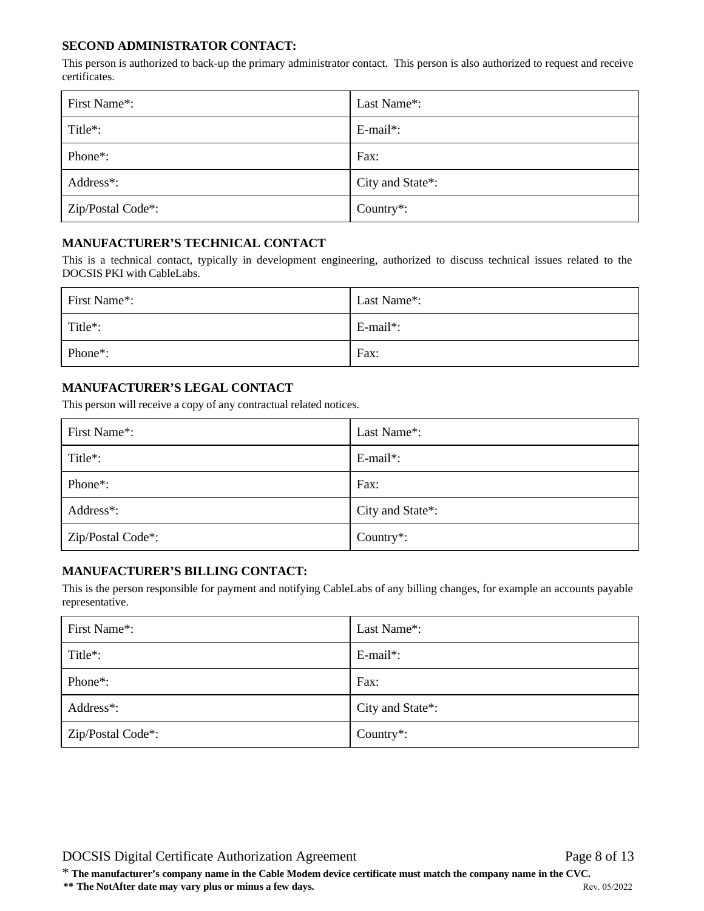#### **SECOND ADMINISTRATOR CONTACT:**

This person is authorized to back-up the primary administrator contact. This person is also authorized to request and receive certificates.

| First Name*:         | Last Name*:      |
|----------------------|------------------|
| Title <sup>*</sup> : | $E$ -mail*:      |
| Phone <sup>*</sup> : | Fax:             |
| Address*:            | City and State*: |
| Zip/Postal Code*:    | Country $*$ :    |

### **MANUFACTURER'S TECHNICAL CONTACT**

This is a technical contact, typically in development engineering, authorized to discuss technical issues related to the DOCSIS PKI with CableLabs.

| First Name*:         | Last Name*: |
|----------------------|-------------|
| Title <sup>*</sup> : | E-mail*:    |
| Phone <sup>*</sup> : | Fax:        |

### **MANUFACTURER'S LEGAL CONTACT**

This person will receive a copy of any contractual related notices.

| First Name*:                   | Last Name*:      |
|--------------------------------|------------------|
| Title*:                        | $E$ -mail*:      |
| Phone <sup>*</sup> :           | Fax:             |
| Address*:                      | City and State*: |
| Zip/Postal Code <sup>*</sup> : | Country $*$ :    |

#### **MANUFACTURER'S BILLING CONTACT:**

This is the person responsible for payment and notifying CableLabs of any billing changes, for example an accounts payable representative.

| First Name*:                   | Last Name*:            |
|--------------------------------|------------------------|
| Title <sup>*</sup> :           | $E$ -mail*:            |
| Phone <sup>*</sup> :           | Fax:                   |
| Address*:                      | City and State*:       |
| Zip/Postal Code <sup>*</sup> : | Country <sup>*</sup> : |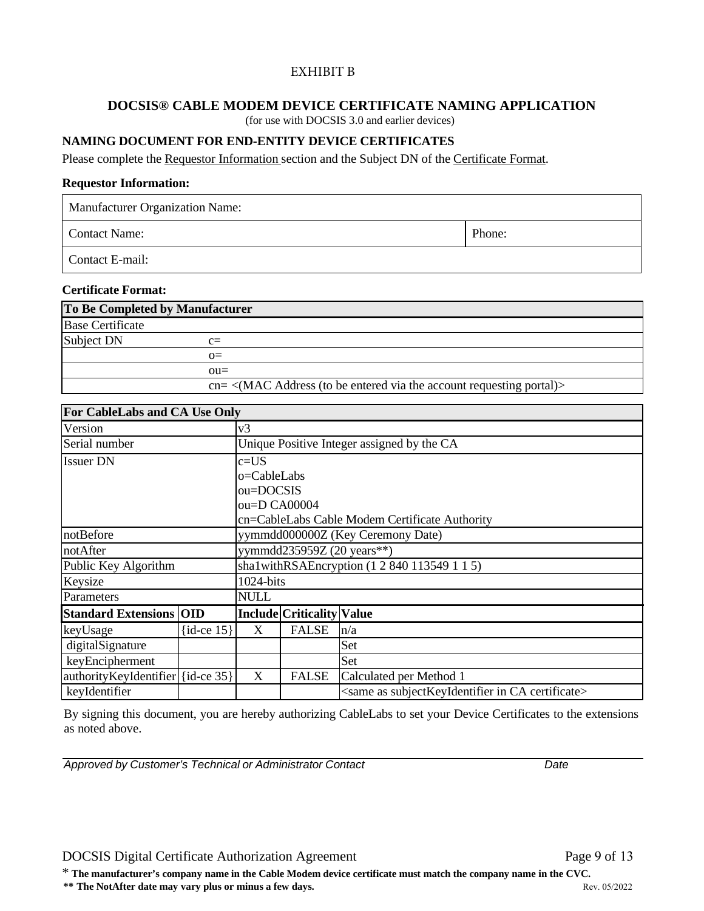#### EXHIBIT B

### **DOCSIS® CABLE MODEM DEVICE CERTIFICATE NAMING APPLICATION**

(for use with DOCSIS 3.0 and earlier devices)

#### **NAMING DOCUMENT FOR END-ENTITY DEVICE CERTIFICATES**

Please complete the Requestor Information section and the Subject DN of the Certificate Format.

#### **Requestor Information:**

Manufacturer Organization Name:

Contact Name: Phone:

Contact E-mail:

#### **Certificate Format:**

| To Be Completed by Manufacturer |                                                                                              |  |
|---------------------------------|----------------------------------------------------------------------------------------------|--|
| <b>Base Certificate</b>         |                                                                                              |  |
| Subject DN                      | $c =$                                                                                        |  |
|                                 | $\Omega$                                                                                     |  |
|                                 | $\alpha$                                                                                     |  |
|                                 | $cn = \langle MAC \text{ Address} \rangle$ (to be entered via the account requesting portal) |  |

| For CableLabs and CA Use Only     |                |                                                                        |              |                                            |  |
|-----------------------------------|----------------|------------------------------------------------------------------------|--------------|--------------------------------------------|--|
| Version                           |                | v3                                                                     |              |                                            |  |
| Serial number                     |                |                                                                        |              | Unique Positive Integer assigned by the CA |  |
| <b>Issuer DN</b>                  |                | c=US                                                                   |              |                                            |  |
|                                   |                | o=CableLabs                                                            |              |                                            |  |
|                                   |                | ou=DOCSIS                                                              |              |                                            |  |
|                                   |                | ou=D CA00004                                                           |              |                                            |  |
|                                   |                | cn=CableLabs Cable Modem Certificate Authority                         |              |                                            |  |
| notBefore                         |                | yymmdd000000Z (Key Ceremony Date)                                      |              |                                            |  |
| notAfter                          |                | yymmdd235959Z (20 years**)                                             |              |                                            |  |
| Public Key Algorithm              |                | sha1withRSAEncryption (1 2 840 113549 1 1 5)                           |              |                                            |  |
| Keysize                           |                | $1024$ -bits                                                           |              |                                            |  |
| Parameters                        |                | <b>NULL</b>                                                            |              |                                            |  |
| <b>Standard Extensions OID</b>    |                | <b>Include Criticality Value</b>                                       |              |                                            |  |
| keyUsage                          | $\{id-ce 15\}$ | X                                                                      | <b>FALSE</b> | n/a                                        |  |
| digitalSignature                  |                | Set                                                                    |              |                                            |  |
| keyEncipherment                   |                | Set                                                                    |              |                                            |  |
| authorityKeyIdentifier {id-ce 35} |                | $\boldsymbol{X}$<br><b>FALSE</b><br>Calculated per Method 1            |              |                                            |  |
| keyIdentifier                     |                | <same as="" ca="" certificate="" in="" subjectkeyidentifier=""></same> |              |                                            |  |

By signing this document, you are hereby authorizing CableLabs to set your Device Certificates to the extensions as noted above.

*Approved by Customer's Technical or Administrator Contact Date*

#### DOCSIS Digital Certificate Authorization Agreement Page 9 of 13

\* **The manufacturer's company name in the Cable Modem device certificate must match the company name in the CVC.**

**\*\* The NotAfter date may vary plus or minus a few days.** Rev. 05/2022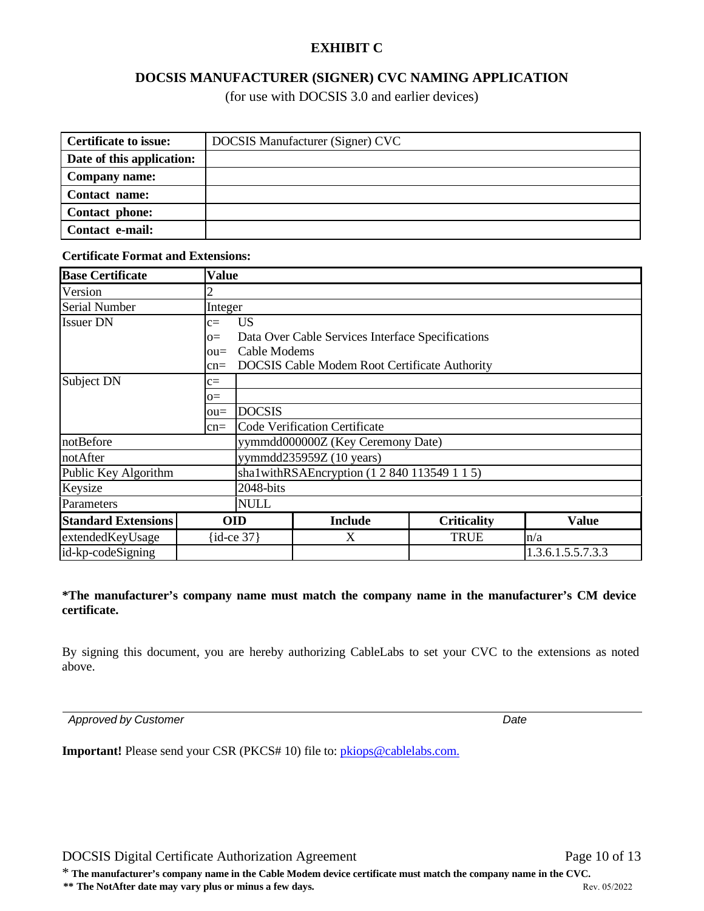# **EXHIBIT C**

## **DOCSIS MANUFACTURER (SIGNER) CVC NAMING APPLICATION**

(for use with DOCSIS 3.0 and earlier devices)

| <b>Certificate to issue:</b> | DOCSIS Manufacturer (Signer) CVC |
|------------------------------|----------------------------------|
| Date of this application:    |                                  |
| Company name:                |                                  |
| Contact name:                |                                  |
| Contact phone:               |                                  |
| Contact e-mail:              |                                  |

## **Base Certificate Value Version** Serial Number Integer Issuer DN c= US o= Data Over Cable Services Interface Specifications ou= Cable Modems cn= DOCSIS Cable Modem Root Certificate Authority Subject DN  $|c=$  $o=$ ou= DOCSIS cn= Code Verification Certificate notBefore yymmdd0000002 (Key Ceremony Date) notAfter vymmdd235959Z (10 years) Public Key Algorithm sha1withRSAEncryption (1 2 840 113549 1 1 5) Keysize 2048-bits Parameters NULL **Standard Extensions OID Include Criticality Value** extendedKeyUsage {id-ce 37} X TRUE n/a<br>id-kp-codeSigning 1.3.6.1.5.5.7.3.3 id-kp-codeSigning

**\*The manufacturer's company name must match the company name in the manufacturer's CM device certificate.**

By signing this document, you are hereby authorizing CableLabs to set your CVC to the extensions as noted above.

*Approved by Customer Date*

**Certificate Format and Extensions:**

**Important!** Please send your CSR (PKCS# 10) file to: *pkiops@cablelabs.com.* 

\* **The manufacturer's company name in the Cable Modem device certificate must match the company name in the CVC.**

**\*\* The NotAfter date may vary plus or minus a few days.** Rev. 05/2022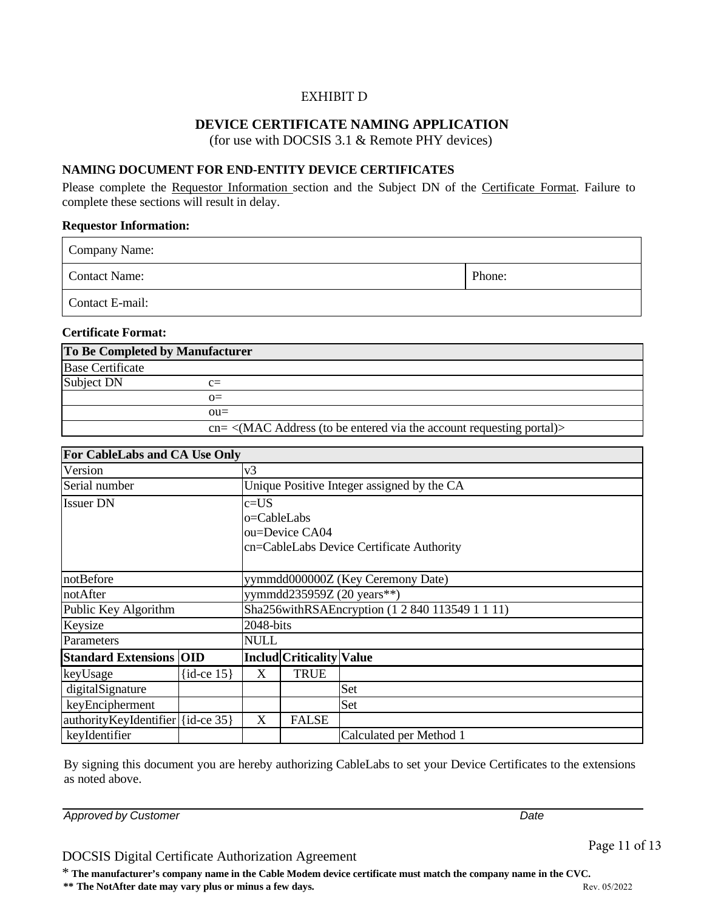### EXHIBIT D

### **DEVICE CERTIFICATE NAMING APPLICATION**

(for use with DOCSIS 3.1 & Remote PHY devices)

### **NAMING DOCUMENT FOR END-ENTITY DEVICE CERTIFICATES**

Please complete the Requestor Information section and the Subject DN of the Certificate Format. Failure to complete these sections will result in delay.

#### **Requestor Information:**

| Company Name:        |        |
|----------------------|--------|
| <b>Contact Name:</b> | Phone: |
| Contact E-mail:      |        |

#### **Certificate Format:**

| To Be Completed by Manufacturer |                                                                                              |  |  |  |
|---------------------------------|----------------------------------------------------------------------------------------------|--|--|--|
| <b>Base Certificate</b>         |                                                                                              |  |  |  |
| Subject DN                      | $c =$                                                                                        |  |  |  |
|                                 | $\Omega$                                                                                     |  |  |  |
|                                 | $OII =$                                                                                      |  |  |  |
|                                 | $cn = \langle MAC \text{ Address} \rangle$ (to be entered via the account requesting portal) |  |  |  |

| For CableLabs and CA Use Only     |                |                                                 |                                            |                                           |  |  |
|-----------------------------------|----------------|-------------------------------------------------|--------------------------------------------|-------------------------------------------|--|--|
| Version                           |                | v3                                              |                                            |                                           |  |  |
| Serial number                     |                |                                                 | Unique Positive Integer assigned by the CA |                                           |  |  |
| <b>Issuer DN</b>                  |                | $c = US$                                        |                                            |                                           |  |  |
|                                   |                | o=CableLabs                                     |                                            |                                           |  |  |
|                                   |                | ou=Device CA04                                  |                                            |                                           |  |  |
|                                   |                |                                                 |                                            | cn=CableLabs Device Certificate Authority |  |  |
|                                   |                |                                                 |                                            |                                           |  |  |
| notBefore                         |                | yymmdd000000Z (Key Ceremony Date)               |                                            |                                           |  |  |
| notAfter                          |                | yymmdd235959Z (20 years**)                      |                                            |                                           |  |  |
| Public Key Algorithm              |                | Sha256withRSAEncryption (1 2 840 113549 1 1 11) |                                            |                                           |  |  |
| Keysize                           |                | 2048-bits                                       |                                            |                                           |  |  |
| Parameters                        |                | <b>NULL</b>                                     |                                            |                                           |  |  |
| <b>Standard Extensions OID</b>    |                |                                                 | <b>Includ Criticality Value</b>            |                                           |  |  |
| keyUsage                          | $\{id-ce 15\}$ | X                                               | <b>TRUE</b>                                |                                           |  |  |
| digitalSignature                  |                |                                                 |                                            | Set                                       |  |  |
| keyEncipherment                   |                |                                                 |                                            | Set                                       |  |  |
| authorityKeyIdentifier {id-ce 35} |                | X                                               | <b>FALSE</b>                               |                                           |  |  |
| keyIdentifier                     |                |                                                 |                                            | Calculated per Method 1                   |  |  |

By signing this document you are hereby authorizing CableLabs to set your Device Certificates to the extensions as noted above.

*Approved by Customer Date*

#### DOCSIS Digital Certificate Authorization Agreement

\* **The manufacturer's company name in the Cable Modem device certificate must match the company name in the CVC.**

**\*\* The NotAfter date may vary plus or minus a few days.** Rev. 05/2022

Page 11 of 13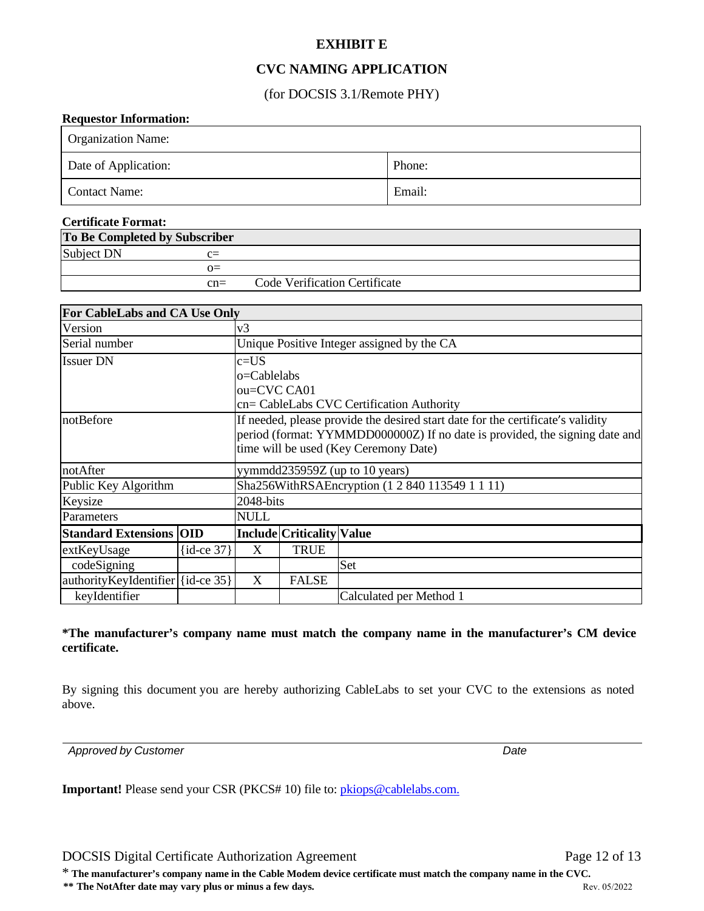# **EXHIBIT E**

## **CVC NAMING APPLICATION**

(for DOCSIS 3.1/Remote PHY)

#### **Requestor Information:**

| <b>Organization Name:</b> |        |
|---------------------------|--------|
| Date of Application:      | Phone: |
| <b>Contact Name:</b>      | Email: |

### **Certificate Format: To Be Completed by Subscriber** Subject DN c=  $Q=$ cn= Code Verification Certificate

| For CableLabs and CA Use Only             |                                                                                                                                                                                                         |                                                 |                                  |     |  |  |  |
|-------------------------------------------|---------------------------------------------------------------------------------------------------------------------------------------------------------------------------------------------------------|-------------------------------------------------|----------------------------------|-----|--|--|--|
| Version                                   |                                                                                                                                                                                                         |                                                 |                                  | v3  |  |  |  |
| Serial number                             |                                                                                                                                                                                                         | Unique Positive Integer assigned by the CA      |                                  |     |  |  |  |
| <b>Issuer DN</b>                          |                                                                                                                                                                                                         | $c = US$                                        |                                  |     |  |  |  |
|                                           |                                                                                                                                                                                                         | o=Cablelabs                                     |                                  |     |  |  |  |
|                                           |                                                                                                                                                                                                         | ou=CVC CA01                                     |                                  |     |  |  |  |
| cn= CableLabs CVC Certification Authority |                                                                                                                                                                                                         |                                                 |                                  |     |  |  |  |
| notBefore                                 | If needed, please provide the desired start date for the certificate's validity<br>period (format: YYMMDD000000Z) If no date is provided, the signing date and<br>time will be used (Key Ceremony Date) |                                                 |                                  |     |  |  |  |
| notAfter                                  |                                                                                                                                                                                                         | yymmdd $235959Z$ (up to 10 years)               |                                  |     |  |  |  |
| Public Key Algorithm                      |                                                                                                                                                                                                         | Sha256WithRSAEncryption (1 2 840 113549 1 1 11) |                                  |     |  |  |  |
| Keysize                                   | 2048-bits                                                                                                                                                                                               |                                                 |                                  |     |  |  |  |
| Parameters                                |                                                                                                                                                                                                         | NULL                                            |                                  |     |  |  |  |
| <b>Standard Extensions OID</b>            |                                                                                                                                                                                                         |                                                 | <b>Include Criticality Value</b> |     |  |  |  |
| extKeyUsage                               | $\{id-ce 37\}$                                                                                                                                                                                          | X                                               | <b>TRUE</b>                      |     |  |  |  |
| codeSigning                               |                                                                                                                                                                                                         |                                                 |                                  | Set |  |  |  |
| authorityKeyIdentifier {id-ce 35}         |                                                                                                                                                                                                         | X                                               | <b>FALSE</b>                     |     |  |  |  |
| keyIdentifier                             |                                                                                                                                                                                                         | Calculated per Method 1                         |                                  |     |  |  |  |

#### **\*The manufacturer's company name must match the company name in the manufacturer's CM device certificate.**

By signing this document you are hereby authorizing CableLabs to set your CVC to the extensions as noted above.

*Approved by Customer Date*

**Important!** Please send your CSR (PKCS# 10) file to: *pkiops@cablelabs.com.* 

DOCSIS Digital Certificate Authorization Agreement Page 12 of 13

\* **The manufacturer's company name in the Cable Modem device certificate must match the company name in the CVC.**